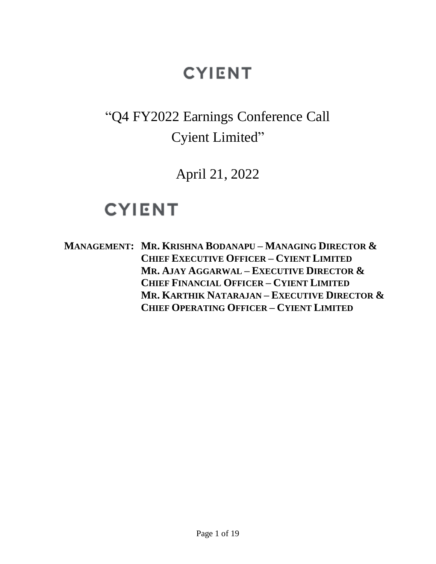#### "Q4 FY2022 Earnings Conference Call Cyient Limited"

April 21, 2022

#### **CYIENT**

**MANAGEMENT: MR. KRISHNA BODANAPU – MANAGING DIRECTOR & CHIEF EXECUTIVE OFFICER – CYIENT LIMITED MR. AJAY AGGARWAL – EXECUTIVE DIRECTOR & CHIEF FINANCIAL OFFICER – CYIENT LIMITED MR. KARTHIK NATARAJAN – EXECUTIVE DIRECTOR & CHIEF OPERATING OFFICER – CYIENT LIMITED**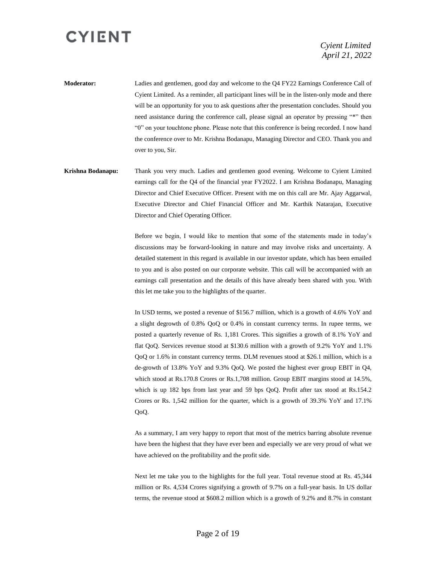*Cyient Limited April 21, 2022*

**Moderator:** Ladies and gentlemen, good day and welcome to the Q4 FY22 Earnings Conference Call of Cyient Limited. As a reminder, all participant lines will be in the listen-only mode and there will be an opportunity for you to ask questions after the presentation concludes. Should you need assistance during the conference call, please signal an operator by pressing "\*" then "0" on your touchtone phone. Please note that this conference is being recorded. I now hand the conference over to Mr. Krishna Bodanapu, Managing Director and CEO. Thank you and over to you, Sir.

**Krishna Bodanapu:** Thank you very much. Ladies and gentlemen good evening. Welcome to Cyient Limited earnings call for the Q4 of the financial year FY2022. I am Krishna Bodanapu, Managing Director and Chief Executive Officer. Present with me on this call are Mr. Ajay Aggarwal, Executive Director and Chief Financial Officer and Mr. Karthik Natarajan, Executive Director and Chief Operating Officer.

> Before we begin, I would like to mention that some of the statements made in today's discussions may be forward-looking in nature and may involve risks and uncertainty. A detailed statement in this regard is available in our investor update, which has been emailed to you and is also posted on our corporate website. This call will be accompanied with an earnings call presentation and the details of this have already been shared with you. With this let me take you to the highlights of the quarter.

> In USD terms, we posted a revenue of \$156.7 million, which is a growth of 4.6% YoY and a slight degrowth of 0.8% QoQ or 0.4% in constant currency terms. In rupee terms, we posted a quarterly revenue of Rs. 1,181 Crores. This signifies a growth of 8.1% YoY and flat QoQ. Services revenue stood at \$130.6 million with a growth of 9.2% YoY and 1.1% QoQ or 1.6% in constant currency terms. DLM revenues stood at \$26.1 million, which is a de-growth of 13.8% YoY and 9.3% QoQ. We posted the highest ever group EBIT in Q4, which stood at Rs.170.8 Crores or Rs.1,708 million. Group EBIT margins stood at 14.5%, which is up 182 bps from last year and 59 bps QoQ. Profit after tax stood at Rs.154.2 Crores or Rs. 1,542 million for the quarter, which is a growth of 39.3% YoY and 17.1% QoQ.

> As a summary, I am very happy to report that most of the metrics barring absolute revenue have been the highest that they have ever been and especially we are very proud of what we have achieved on the profitability and the profit side.

> Next let me take you to the highlights for the full year. Total revenue stood at Rs. 45,344 million or Rs. 4,534 Crores signifying a growth of 9.7% on a full-year basis. In US dollar terms, the revenue stood at \$608.2 million which is a growth of 9.2% and 8.7% in constant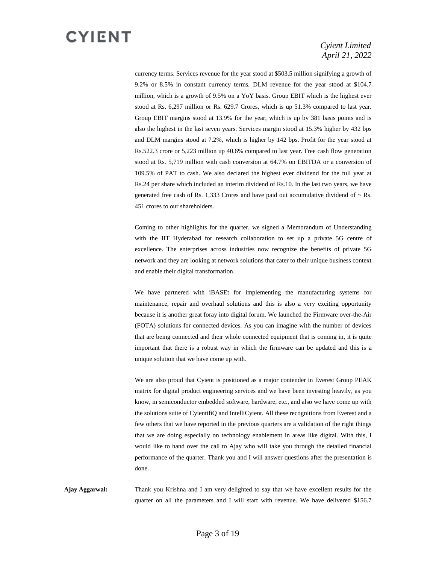#### *Cyient Limited April 21, 2022*

currency terms. Services revenue for the year stood at \$503.5 million signifying a growth of 9.2% or 8.5% in constant currency terms. DLM revenue for the year stood at \$104.7 million, which is a growth of 9.5% on a YoY basis. Group EBIT which is the highest ever stood at Rs. 6,297 million or Rs. 629.7 Crores, which is up 51.3% compared to last year. Group EBIT margins stood at 13.9% for the year, which is up by 381 basis points and is also the highest in the last seven years. Services margin stood at 15.3% higher by 432 bps and DLM margins stood at 7.2%, which is higher by 142 bps. Profit for the year stood at Rs.522.3 crore or 5,223 million up 40.6% compared to last year. Free cash flow generation stood at Rs. 5,719 million with cash conversion at 64.7% on EBITDA or a conversion of 109.5% of PAT to cash. We also declared the highest ever dividend for the full year at Rs.24 per share which included an interim dividend of Rs.10. In the last two years, we have generated free cash of Rs. 1,333 Crores and have paid out accumulative dividend of  $\sim$  Rs. 451 crores to our shareholders.

Coming to other highlights for the quarter, we signed a Memorandum of Understanding with the IIT Hyderabad for research collaboration to set up a private 5G centre of excellence. The enterprises across industries now recognize the benefits of private 5G network and they are looking at network solutions that cater to their unique business context and enable their digital transformation.

We have partnered with iBASEt for implementing the manufacturing systems for maintenance, repair and overhaul solutions and this is also a very exciting opportunity because it is another great foray into digital forum. We launched the Firmware over-the-Air (FOTA) solutions for connected devices. As you can imagine with the number of devices that are being connected and their whole connected equipment that is coming in, it is quite important that there is a robust way in which the firmware can be updated and this is a unique solution that we have come up with.

We are also proud that Cyient is positioned as a major contender in Everest Group PEAK matrix for digital product engineering services and we have been investing heavily, as you know, in semiconductor embedded software, hardware, etc., and also we have come up with the solutions suite of CyientifiQ and IntelliCyient. All these recognitions from Everest and a few others that we have reported in the previous quarters are a validation of the right things that we are doing especially on technology enablement in areas like digital. With this, I would like to hand over the call to Ajay who will take you through the detailed financial performance of the quarter. Thank you and I will answer questions after the presentation is done.

**Ajay Aggarwal:** Thank you Krishna and I am very delighted to say that we have excellent results for the quarter on all the parameters and I will start with revenue. We have delivered \$156.7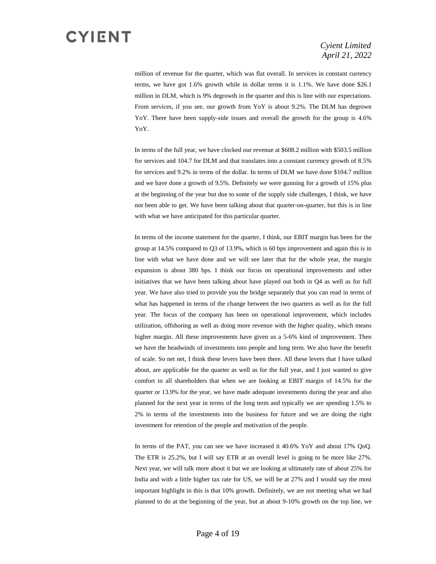#### *Cyient Limited April 21, 2022*

million of revenue for the quarter, which was flat overall. In services in constant currency terms, we have got 1.6% growth while in dollar terms it is 1.1%. We have done \$26.1 million in DLM, which is 9% degrowth in the quarter and this is line with our expectations. From services, if you see, our growth from YoY is about 9.2%. The DLM has degrown YoY. There have been supply-side issues and overall the growth for the group is 4.6% YoY.

In terms of the full year, we have clocked our revenue at \$608.2 million with \$503.5 million for services and 104.7 for DLM and that translates into a constant currency growth of 8.5% for services and 9.2% in terms of the dollar. In terms of DLM we have done \$104.7 million and we have done a growth of 9.5%. Definitely we were gunning for a growth of 15% plus at the beginning of the year but due to some of the supply side challenges, I think, we have not been able to get. We have been talking about that quarter-on-quarter, but this is in line with what we have anticipated for this particular quarter.

In terms of the income statement for the quarter, I think, our EBIT margin has been for the group at 14.5% compared to Q3 of 13.9%, which is 60 bps improvement and again this is in line with what we have done and we will see later that for the whole year, the margin expansion is about 380 bps. I think our focus on operational improvements and other initiatives that we have been talking about have played out both in Q4 as well as for full year. We have also tried to provide you the bridge separately that you can read in terms of what has happened in terms of the change between the two quarters as well as for the full year. The focus of the company has been on operational improvement, which includes utilization, offshoring as well as doing more revenue with the higher quality, which means higher margin. All these improvements have given us a 5-6% kind of improvement. Then we have the headwinds of investments into people and long term. We also have the benefit of scale. So net net, I think these levers have been there. All these levers that I have talked about, are applicable for the quarter as well as for the full year, and I just wanted to give comfort to all shareholders that when we are looking at EBIT margin of 14.5% for the quarter or 13.9% for the year, we have made adequate investments during the year and also planned for the next year in terms of the long term and typically we are spending 1.5% to 2% in terms of the investments into the business for future and we are doing the right investment for retention of the people and motivation of the people.

In terms of the PAT, you can see we have increased it 40.6% YoY and about 17% QoQ. The ETR is 25.2%, but I will say ETR at an overall level is going to be more like 27%. Next year, we will talk more about it but we are looking at ultimately rate of about 25% for India and with a little higher tax rate for US, we will be at 27% and I would say the most important highlight in this is that 10% growth. Definitely, we are not meeting what we had planned to do at the beginning of the year, but at about 9-10% growth on the top line, we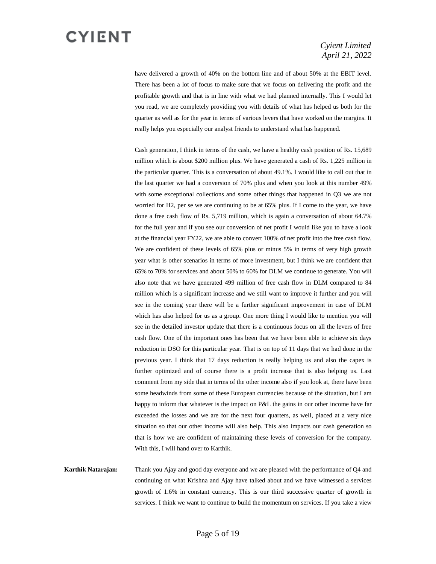#### *Cyient Limited April 21, 2022*

have delivered a growth of 40% on the bottom line and of about 50% at the EBIT level. There has been a lot of focus to make sure that we focus on delivering the profit and the profitable growth and that is in line with what we had planned internally. This I would let you read, we are completely providing you with details of what has helped us both for the quarter as well as for the year in terms of various levers that have worked on the margins. It really helps you especially our analyst friends to understand what has happened.

Cash generation, I think in terms of the cash, we have a healthy cash position of Rs. 15,689 million which is about \$200 million plus. We have generated a cash of Rs. 1,225 million in the particular quarter. This is a conversation of about 49.1%. I would like to call out that in the last quarter we had a conversion of 70% plus and when you look at this number 49% with some exceptional collections and some other things that happened in Q3 we are not worried for H2, per se we are continuing to be at 65% plus. If I come to the year, we have done a free cash flow of Rs. 5,719 million, which is again a conversation of about 64.7% for the full year and if you see our conversion of net profit I would like you to have a look at the financial year FY22, we are able to convert 100% of net profit into the free cash flow. We are confident of these levels of 65% plus or minus 5% in terms of very high growth year what is other scenarios in terms of more investment, but I think we are confident that 65% to 70% for services and about 50% to 60% for DLM we continue to generate. You will also note that we have generated 499 million of free cash flow in DLM compared to 84 million which is a significant increase and we still want to improve it further and you will see in the coming year there will be a further significant improvement in case of DLM which has also helped for us as a group. One more thing I would like to mention you will see in the detailed investor update that there is a continuous focus on all the levers of free cash flow. One of the important ones has been that we have been able to achieve six days reduction in DSO for this particular year. That is on top of 11 days that we had done in the previous year. I think that 17 days reduction is really helping us and also the capex is further optimized and of course there is a profit increase that is also helping us. Last comment from my side that in terms of the other income also if you look at, there have been some headwinds from some of these European currencies because of the situation, but I am happy to inform that whatever is the impact on P&L the gains in our other income have far exceeded the losses and we are for the next four quarters, as well, placed at a very nice situation so that our other income will also help. This also impacts our cash generation so that is how we are confident of maintaining these levels of conversion for the company. With this, I will hand over to Karthik.

**Karthik Natarajan:** Thank you Ajay and good day everyone and we are pleased with the performance of Q4 and continuing on what Krishna and Ajay have talked about and we have witnessed a services growth of 1.6% in constant currency. This is our third successive quarter of growth in services. I think we want to continue to build the momentum on services. If you take a view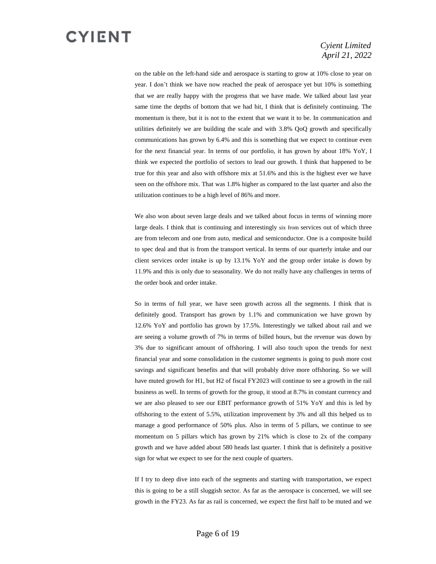#### *Cyient Limited April 21, 2022*

on the table on the left-hand side and aerospace is starting to grow at 10% close to year on year. I don't think we have now reached the peak of aerospace yet but 10% is something that we are really happy with the progress that we have made. We talked about last year same time the depths of bottom that we had hit, I think that is definitely continuing. The momentum is there, but it is not to the extent that we want it to be. In communication and utilities definitely we are building the scale and with 3.8% QoQ growth and specifically communications has grown by 6.4% and this is something that we expect to continue even for the next financial year. In terms of our portfolio, it has grown by about 18% YoY, I think we expected the portfolio of sectors to lead our growth. I think that happened to be true for this year and also with offshore mix at 51.6% and this is the highest ever we have seen on the offshore mix. That was 1.8% higher as compared to the last quarter and also the utilization continues to be a high level of 86% and more.

We also won about seven large deals and we talked about focus in terms of winning more large deals. I think that is continuing and interestingly six from services out of which three are from telecom and one from auto, medical and semiconductor. One is a composite build to spec deal and that is from the transport vertical. In terms of our quarterly intake and our client services order intake is up by 13.1% YoY and the group order intake is down by 11.9% and this is only due to seasonality. We do not really have any challenges in terms of the order book and order intake.

 So in terms of full year, we have seen growth across all the segments. I think that is definitely good. Transport has grown by 1.1% and communication we have grown by 12.6% YoY and portfolio has grown by 17.5%. Interestingly we talked about rail and we are seeing a volume growth of 7% in terms of billed hours, but the revenue was down by 3% due to significant amount of offshoring. I will also touch upon the trends for next financial year and some consolidation in the customer segments is going to push more cost savings and significant benefits and that will probably drive more offshoring. So we will have muted growth for H1, but H2 of fiscal FY2023 will continue to see a growth in the rail business as well. In terms of growth for the group, it stood at 8.7% in constant currency and we are also pleased to see our EBIT performance growth of 51% YoY and this is led by offshoring to the extent of 5.5%, utilization improvement by 3% and all this helped us to manage a good performance of 50% plus. Also in terms of 5 pillars, we continue to see momentum on 5 pillars which has grown by 21% which is close to 2x of the company growth and we have added about 580 heads last quarter. I think that is definitely a positive sign for what we expect to see for the next couple of quarters.

If I try to deep dive into each of the segments and starting with transportation, we expect this is going to be a still sluggish sector. As far as the aerospace is concerned, we will see growth in the FY23. As far as rail is concerned, we expect the first half to be muted and we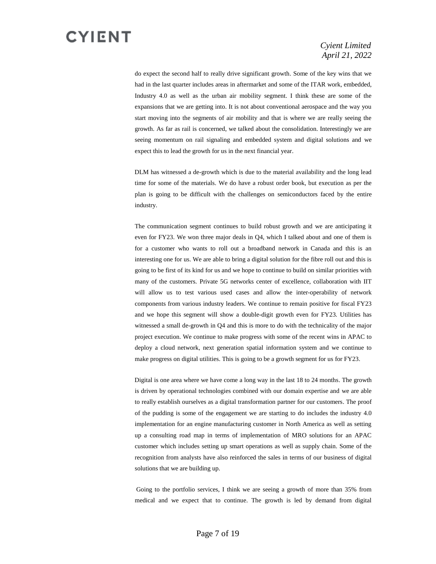#### *Cyient Limited April 21, 2022*

do expect the second half to really drive significant growth. Some of the key wins that we had in the last quarter includes areas in aftermarket and some of the ITAR work, embedded, Industry 4.0 as well as the urban air mobility segment. I think these are some of the expansions that we are getting into. It is not about conventional aerospace and the way you start moving into the segments of air mobility and that is where we are really seeing the growth. As far as rail is concerned, we talked about the consolidation. Interestingly we are seeing momentum on rail signaling and embedded system and digital solutions and we expect this to lead the growth for us in the next financial year.

 DLM has witnessed a de-growth which is due to the material availability and the long lead time for some of the materials. We do have a robust order book, but execution as per the plan is going to be difficult with the challenges on semiconductors faced by the entire industry.

The communication segment continues to build robust growth and we are anticipating it even for FY23. We won three major deals in Q4, which I talked about and one of them is for a customer who wants to roll out a broadband network in Canada and this is an interesting one for us. We are able to bring a digital solution for the fibre roll out and this is going to be first of its kind for us and we hope to continue to build on similar priorities with many of the customers. Private 5G networks center of excellence, collaboration with IIT will allow us to test various used cases and allow the inter-operability of network components from various industry leaders. We continue to remain positive for fiscal FY23 and we hope this segment will show a double-digit growth even for FY23. Utilities has witnessed a small de-growth in Q4 and this is more to do with the technicality of the major project execution. We continue to make progress with some of the recent wins in APAC to deploy a cloud network, next generation spatial information system and we continue to make progress on digital utilities. This is going to be a growth segment for us for FY23.

 Digital is one area where we have come a long way in the last 18 to 24 months. The growth is driven by operational technologies combined with our domain expertise and we are able to really establish ourselves as a digital transformation partner for our customers. The proof of the pudding is some of the engagement we are starting to do includes the industry 4.0 implementation for an engine manufacturing customer in North America as well as setting up a consulting road map in terms of implementation of MRO solutions for an APAC customer which includes setting up smart operations as well as supply chain. Some of the recognition from analysts have also reinforced the sales in terms of our business of digital solutions that we are building up.

 Going to the portfolio services, I think we are seeing a growth of more than 35% from medical and we expect that to continue. The growth is led by demand from digital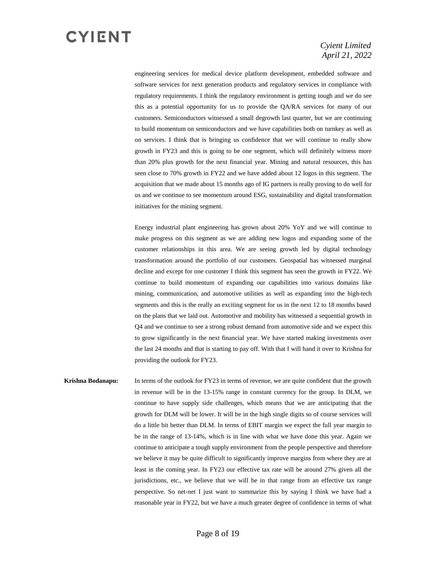

#### *Cyient Limited April 21, 2022*

engineering services for medical device platform development, embedded software and software services for next generation products and regulatory services in compliance with regulatory requirements. I think the regulatory environment is getting tough and we do see this as a potential opportunity for us to provide the QA/RA services for many of our customers. Semiconductors witnessed a small degrowth last quarter, but we are continuing to build momentum on semiconductors and we have capabilities both on turnkey as well as on services. I think that is bringing us confidence that we will continue to really show growth in FY23 and this is going to be one segment, which will definitely witness more than 20% plus growth for the next financial year. Mining and natural resources, this has seen close to 70% growth in FY22 and we have added about 12 logos in this segment. The acquisition that we made about 15 months ago of IG partners is really proving to do well for us and we continue to see momentum around ESG, sustainability and digital transformation initiatives for the mining segment.

Energy industrial plant engineering has grown about 20% YoY and we will continue to make progress on this segment as we are adding new logos and expanding some of the customer relationships in this area. We are seeing growth led by digital technology transformation around the portfolio of our customers. Geospatial has witnessed marginal decline and except for one customer I think this segment has seen the growth in FY22. We continue to build momentum of expanding our capabilities into various domains like mining, communication, and automotive utilities as well as expanding into the high-tech segments and this is the really an exciting segment for us in the next 12 to 18 months based on the plans that we laid out. Automotive and mobility has witnessed a sequential growth in Q4 and we continue to see a strong robust demand from automotive side and we expect this to grow significantly in the next financial year. We have started making investments over the last 24 months and that is starting to pay off. With that I will hand it over to Krishna for providing the outlook for FY23.

**Krishna Bodanapu:** In terms of the outlook for FY23 in terms of revenue, we are quite confident that the growth in revenue will be in the 13-15% range in constant currency for the group. In DLM, we continue to have supply side challenges, which means that we are anticipating that the growth for DLM will be lower. It will be in the high single digits so of course services will do a little bit better than DLM. In terms of EBIT margin we expect the full year margin to be in the range of 13-14%, which is in line with what we have done this year. Again we continue to anticipate a tough supply environment from the people perspective and therefore we believe it may be quite difficult to significantly improve margins from where they are at least in the coming year. In FY23 our effective tax rate will be around 27% given all the jurisdictions, etc., we believe that we will be in that range from an effective tax range perspective. So net-net I just want to summarize this by saying I think we have had a reasonable year in FY22, but we have a much greater degree of confidence in terms of what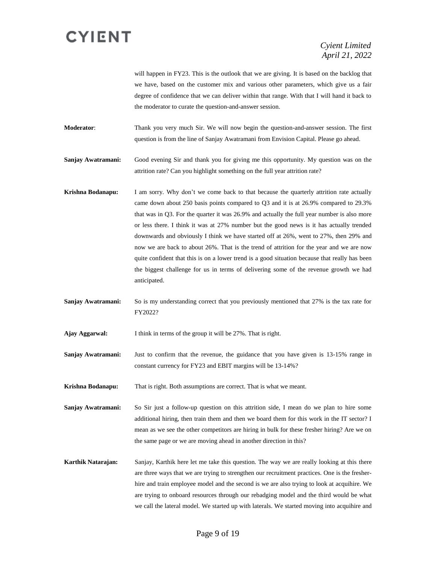will happen in FY23. This is the outlook that we are giving. It is based on the backlog that we have, based on the customer mix and various other parameters, which give us a fair degree of confidence that we can deliver within that range. With that I will hand it back to the moderator to curate the question-and-answer session.

**Moderator**: Thank you very much Sir. We will now begin the question-and-answer session. The first question is from the line of Sanjay Awatramani from Envision Capital. Please go ahead.

**Sanjay Awatramani:** Good evening Sir and thank you for giving me this opportunity. My question was on the attrition rate? Can you highlight something on the full year attrition rate?

- **Krishna Bodanapu:** I am sorry. Why don't we come back to that because the quarterly attrition rate actually came down about 250 basis points compared to Q3 and it is at 26.9% compared to 29.3% that was in Q3. For the quarter it was 26.9% and actually the full year number is also more or less there. I think it was at 27% number but the good news is it has actually trended downwards and obviously I think we have started off at 26%, went to 27%, then 29% and now we are back to about 26%. That is the trend of attrition for the year and we are now quite confident that this is on a lower trend is a good situation because that really has been the biggest challenge for us in terms of delivering some of the revenue growth we had anticipated.
- **Sanjay Awatramani:** So is my understanding correct that you previously mentioned that 27% is the tax rate for FY2022?

**Ajay Aggarwal:** I think in terms of the group it will be 27%. That is right.

**Sanjay Awatramani:** Just to confirm that the revenue, the guidance that you have given is 13-15% range in constant currency for FY23 and EBIT margins will be 13-14%?

**Krishna Bodanapu:** That is right. Both assumptions are correct. That is what we meant.

**Sanjay Awatramani:** So Sir just a follow-up question on this attrition side, I mean do we plan to hire some additional hiring, then train them and then we board them for this work in the IT sector? I mean as we see the other competitors are hiring in bulk for these fresher hiring? Are we on the same page or we are moving ahead in another direction in this?

**Karthik Natarajan:** Sanjay, Karthik here let me take this question. The way we are really looking at this there are three ways that we are trying to strengthen our recruitment practices. One is the fresherhire and train employee model and the second is we are also trying to look at acquihire. We are trying to onboard resources through our rebadging model and the third would be what we call the lateral model. We started up with laterals. We started moving into acquihire and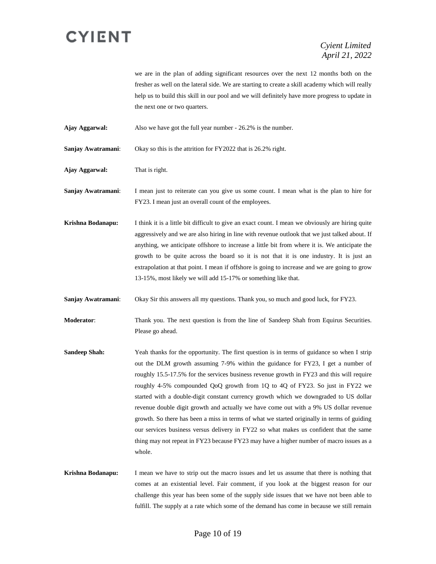#### *Cyient Limited April 21, 2022*

we are in the plan of adding significant resources over the next 12 months both on the fresher as well on the lateral side. We are starting to create a skill academy which will really help us to build this skill in our pool and we will definitely have more progress to update in the next one or two quarters.

**Ajay Aggarwal:** Also we have got the full year number - 26.2% is the number.

**Sanjay Awatramani**: Okay so this is the attrition for FY2022 that is 26.2% right.

**Ajay Aggarwal:** That is right.

**Sanjay Awatramani**: I mean just to reiterate can you give us some count. I mean what is the plan to hire for FY23. I mean just an overall count of the employees.

**Krishna Bodanapu:** I think it is a little bit difficult to give an exact count. I mean we obviously are hiring quite aggressively and we are also hiring in line with revenue outlook that we just talked about. If anything, we anticipate offshore to increase a little bit from where it is. We anticipate the growth to be quite across the board so it is not that it is one industry. It is just an extrapolation at that point. I mean if offshore is going to increase and we are going to grow 13-15%, most likely we will add 15-17% or something like that.

**Sanjay Awatramani**: Okay Sir this answers all my questions. Thank you, so much and good luck, for FY23.

**Moderator**: Thank you. The next question is from the line of Sandeep Shah from Equirus Securities. Please go ahead.

- **Sandeep Shah:** Yeah thanks for the opportunity. The first question is in terms of guidance so when I strip out the DLM growth assuming 7-9% within the guidance for FY23, I get a number of roughly 15.5-17.5% for the services business revenue growth in FY23 and this will require roughly 4-5% compounded QoQ growth from 1Q to 4Q of FY23. So just in FY22 we started with a double-digit constant currency growth which we downgraded to US dollar revenue double digit growth and actually we have come out with a 9% US dollar revenue growth. So there has been a miss in terms of what we started originally in terms of guiding our services business versus delivery in FY22 so what makes us confident that the same thing may not repeat in FY23 because FY23 may have a higher number of macro issues as a whole.
- **Krishna Bodanapu:** I mean we have to strip out the macro issues and let us assume that there is nothing that comes at an existential level. Fair comment, if you look at the biggest reason for our challenge this year has been some of the supply side issues that we have not been able to fulfill. The supply at a rate which some of the demand has come in because we still remain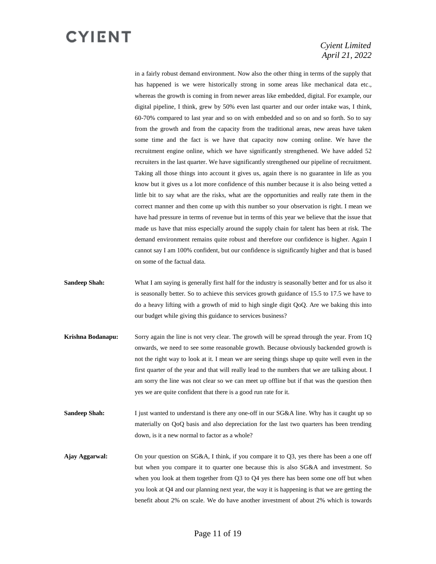#### *Cyient Limited April 21, 2022*

in a fairly robust demand environment. Now also the other thing in terms of the supply that has happened is we were historically strong in some areas like mechanical data etc., whereas the growth is coming in from newer areas like embedded, digital. For example, our digital pipeline, I think, grew by 50% even last quarter and our order intake was, I think, 60-70% compared to last year and so on with embedded and so on and so forth. So to say from the growth and from the capacity from the traditional areas, new areas have taken some time and the fact is we have that capacity now coming online. We have the recruitment engine online, which we have significantly strengthened. We have added 52 recruiters in the last quarter. We have significantly strengthened our pipeline of recruitment. Taking all those things into account it gives us, again there is no guarantee in life as you know but it gives us a lot more confidence of this number because it is also being vetted a little bit to say what are the risks, what are the opportunities and really rate them in the correct manner and then come up with this number so your observation is right. I mean we have had pressure in terms of revenue but in terms of this year we believe that the issue that made us have that miss especially around the supply chain for talent has been at risk. The demand environment remains quite robust and therefore our confidence is higher. Again I cannot say I am 100% confident, but our confidence is significantly higher and that is based on some of the factual data.

- **Sandeep Shah:** What I am saying is generally first half for the industry is seasonally better and for us also it is seasonally better. So to achieve this services growth guidance of 15.5 to 17.5 we have to do a heavy lifting with a growth of mid to high single digit QoQ. Are we baking this into our budget while giving this guidance to services business?
- **Krishna Bodanapu:** Sorry again the line is not very clear. The growth will be spread through the year. From 1Q onwards, we need to see some reasonable growth. Because obviously backended growth is not the right way to look at it. I mean we are seeing things shape up quite well even in the first quarter of the year and that will really lead to the numbers that we are talking about. I am sorry the line was not clear so we can meet up offline but if that was the question then yes we are quite confident that there is a good run rate for it.
- **Sandeep Shah:** I just wanted to understand is there any one-off in our SG&A line. Why has it caught up so materially on QoQ basis and also depreciation for the last two quarters has been trending down, is it a new normal to factor as a whole?
- **Ajay Aggarwal:** On your question on SG&A, I think, if you compare it to Q3, yes there has been a one off but when you compare it to quarter one because this is also SG&A and investment. So when you look at them together from Q3 to Q4 yes there has been some one off but when you look at Q4 and our planning next year, the way it is happening is that we are getting the benefit about 2% on scale. We do have another investment of about 2% which is towards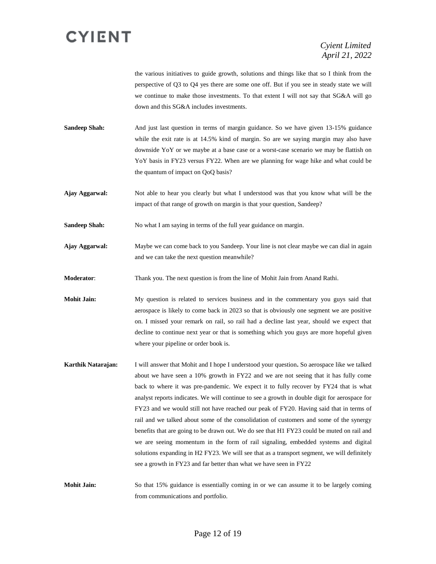the various initiatives to guide growth, solutions and things like that so I think from the perspective of Q3 to Q4 yes there are some one off. But if you see in steady state we will we continue to make those investments. To that extent I will not say that SG&A will go down and this SG&A includes investments.

**Sandeep Shah:** And just last question in terms of margin guidance. So we have given 13-15% guidance while the exit rate is at 14.5% kind of margin. So are we saying margin may also have downside YoY or we maybe at a base case or a worst-case scenario we may be flattish on YoY basis in FY23 versus FY22. When are we planning for wage hike and what could be the quantum of impact on QoQ basis?

**Ajay Aggarwal:** Not able to hear you clearly but what I understood was that you know what will be the impact of that range of growth on margin is that your question, Sandeep?

**Sandeep Shah:** No what I am saying in terms of the full year guidance on margin.

**Ajay Aggarwal:** Maybe we can come back to you Sandeep. Your line is not clear maybe we can dial in again and we can take the next question meanwhile?

**Moderator**: Thank you. The next question is from the line of Mohit Jain from Anand Rathi.

**Mohit Jain:** My question is related to services business and in the commentary you guys said that aerospace is likely to come back in 2023 so that is obviously one segment we are positive on. I missed your remark on rail, so rail had a decline last year, should we expect that decline to continue next year or that is something which you guys are more hopeful given where your pipeline or order book is.

**Karthik Natarajan:** I will answer that Mohit and I hope I understood your question**.** So aerospace like we talked about we have seen a 10% growth in FY22 and we are not seeing that it has fully come back to where it was pre-pandemic. We expect it to fully recover by FY24 that is what analyst reports indicates. We will continue to see a growth in double digit for aerospace for FY23 and we would still not have reached our peak of FY20. Having said that in terms of rail and we talked about some of the consolidation of customers and some of the synergy benefits that are going to be drawn out. We do see that H1 FY23 could be muted on rail and we are seeing momentum in the form of rail signaling, embedded systems and digital solutions expanding in H2 FY23. We will see that as a transport segment, we will definitely see a growth in FY23 and far better than what we have seen in FY22

**Mohit Jain:** So that 15% guidance is essentially coming in or we can assume it to be largely coming from communications and portfolio.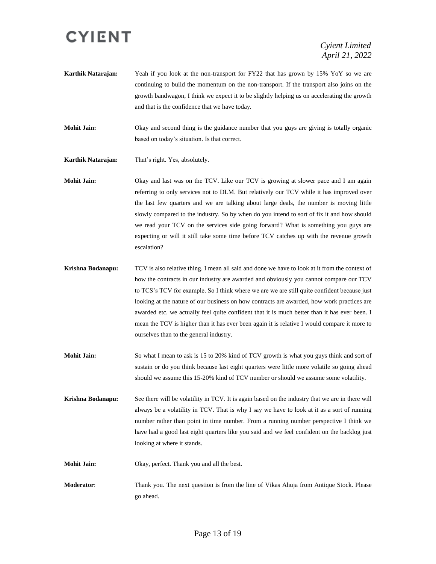*Cyient Limited April 21, 2022*

**Karthik Natarajan:** Yeah if you look at the non-transport for FY22 that has grown by 15% YoY so we are continuing to build the momentum on the non-transport. If the transport also joins on the growth bandwagon, I think we expect it to be slightly helping us on accelerating the growth and that is the confidence that we have today.

**Mohit Jain:** Okay and second thing is the guidance number that you guys are giving is totally organic based on today's situation. Is that correct.

**Karthik Natarajan:** That's right. Yes, absolutely.

**Mohit Jain:** Okay and last was on the TCV. Like our TCV is growing at slower pace and I am again referring to only services not to DLM. But relatively our TCV while it has improved over the last few quarters and we are talking about large deals, the number is moving little slowly compared to the industry. So by when do you intend to sort of fix it and how should we read your TCV on the services side going forward? What is something you guys are expecting or will it still take some time before TCV catches up with the revenue growth escalation?

- **Krishna Bodanapu:** TCV is also relative thing. I mean all said and done we have to look at it from the context of how the contracts in our industry are awarded and obviously you cannot compare our TCV to TCS's TCV for example. So I think where we are we are still quite confident because just looking at the nature of our business on how contracts are awarded, how work practices are awarded etc. we actually feel quite confident that it is much better than it has ever been. I mean the TCV is higher than it has ever been again it is relative I would compare it more to ourselves than to the general industry.
- **Mohit Jain:** So what I mean to ask is 15 to 20% kind of TCV growth is what you guys think and sort of sustain or do you think because last eight quarters were little more volatile so going ahead should we assume this 15-20% kind of TCV number or should we assume some volatility.

**Krishna Bodanapu:** See there will be volatility in TCV. It is again based on the industry that we are in there will always be a volatility in TCV. That is why I say we have to look at it as a sort of running number rather than point in time number. From a running number perspective I think we have had a good last eight quarters like you said and we feel confident on the backlog just looking at where it stands.

- **Mohit Jain:** Okay, perfect. Thank you and all the best.
- **Moderator**: Thank you. The next question is from the line of Vikas Ahuja from Antique Stock. Please go ahead.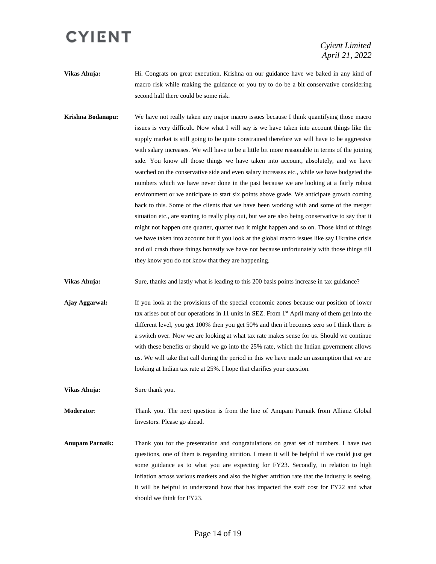*Cyient Limited April 21, 2022*

- **Vikas Ahuja:** Hi. Congrats on great execution. Krishna on our guidance have we baked in any kind of macro risk while making the guidance or you try to do be a bit conservative considering second half there could be some risk.
- **Krishna Bodanapu:** We have not really taken any major macro issues because I think quantifying those macro issues is very difficult. Now what I will say is we have taken into account things like the supply market is still going to be quite constrained therefore we will have to be aggressive with salary increases. We will have to be a little bit more reasonable in terms of the joining side. You know all those things we have taken into account, absolutely, and we have watched on the conservative side and even salary increases etc., while we have budgeted the numbers which we have never done in the past because we are looking at a fairly robust environment or we anticipate to start six points above grade. We anticipate growth coming back to this. Some of the clients that we have been working with and some of the merger situation etc., are starting to really play out, but we are also being conservative to say that it might not happen one quarter, quarter two it might happen and so on. Those kind of things we have taken into account but if you look at the global macro issues like say Ukraine crisis and oil crash those things honestly we have not because unfortunately with those things till they know you do not know that they are happening.

**Vikas Ahuja:** Sure, thanks and lastly what is leading to this 200 basis points increase in tax guidance?

**Ajay Aggarwal:** If you look at the provisions of the special economic zones because our position of lower tax arises out of our operations in 11 units in SEZ. From 1st April many of them get into the different level, you get 100% then you get 50% and then it becomes zero so I think there is a switch over. Now we are looking at what tax rate makes sense for us. Should we continue with these benefits or should we go into the 25% rate, which the Indian government allows us. We will take that call during the period in this we have made an assumption that we are looking at Indian tax rate at 25%. I hope that clarifies your question.

**Vikas Ahuja:** Sure thank you.

**Moderator**: Thank you. The next question is from the line of Anupam Parnaik from Allianz Global Investors. Please go ahead.

**Anupam Parnaik:** Thank you for the presentation and congratulations on great set of numbers. I have two questions, one of them is regarding attrition. I mean it will be helpful if we could just get some guidance as to what you are expecting for FY23. Secondly, in relation to high inflation across various markets and also the higher attrition rate that the industry is seeing, it will be helpful to understand how that has impacted the staff cost for FY22 and what should we think for FY23.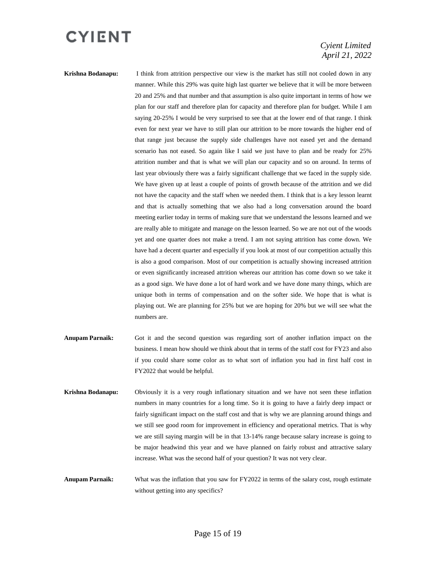#### *Cyient Limited April 21, 2022*

**Krishna Bodanapu:** I think from attrition perspective our view is the market has still not cooled down in any manner. While this 29% was quite high last quarter we believe that it will be more between 20 and 25% and that number and that assumption is also quite important in terms of how we plan for our staff and therefore plan for capacity and therefore plan for budget. While I am saying 20-25% I would be very surprised to see that at the lower end of that range. I think even for next year we have to still plan our attrition to be more towards the higher end of that range just because the supply side challenges have not eased yet and the demand scenario has not eased. So again like I said we just have to plan and be ready for 25% attrition number and that is what we will plan our capacity and so on around. In terms of last year obviously there was a fairly significant challenge that we faced in the supply side. We have given up at least a couple of points of growth because of the attrition and we did not have the capacity and the staff when we needed them. I think that is a key lesson learnt and that is actually something that we also had a long conversation around the board meeting earlier today in terms of making sure that we understand the lessons learned and we are really able to mitigate and manage on the lesson learned. So we are not out of the woods yet and one quarter does not make a trend. I am not saying attrition has come down. We have had a decent quarter and especially if you look at most of our competition actually this is also a good comparison. Most of our competition is actually showing increased attrition or even significantly increased attrition whereas our attrition has come down so we take it as a good sign. We have done a lot of hard work and we have done many things, which are unique both in terms of compensation and on the softer side. We hope that is what is playing out. We are planning for 25% but we are hoping for 20% but we will see what the numbers are.

- **Anupam Parnaik:** Got it and the second question was regarding sort of another inflation impact on the business. I mean how should we think about that in terms of the staff cost for FY23 and also if you could share some color as to what sort of inflation you had in first half cost in FY2022 that would be helpful.
- **Krishna Bodanapu:** Obviously it is a very rough inflationary situation and we have not seen these inflation numbers in many countries for a long time. So it is going to have a fairly deep impact or fairly significant impact on the staff cost and that is why we are planning around things and we still see good room for improvement in efficiency and operational metrics. That is why we are still saying margin will be in that 13-14% range because salary increase is going to be major headwind this year and we have planned on fairly robust and attractive salary increase. What was the second half of your question? It was not very clear.
- **Anupam Parnaik:** What was the inflation that you saw for FY2022 in terms of the salary cost, rough estimate without getting into any specifics?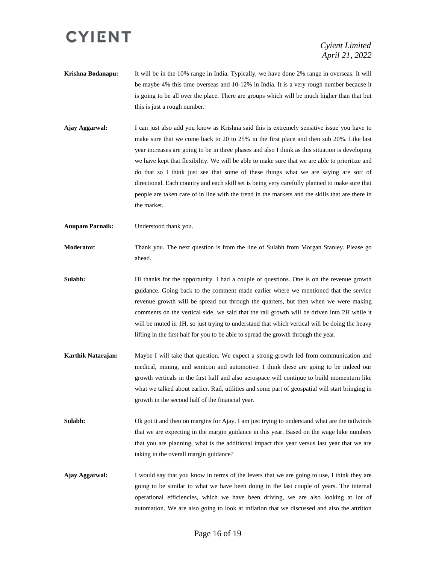*Cyient Limited April 21, 2022*

- **Krishna Bodanapu:** It will be in the 10% range in India. Typically, we have done 2% range in overseas. It will be maybe 4% this time overseas and 10-12% in India. It is a very rough number because it is going to be all over the place. There are groups which will be much higher than that but this is just a rough number.
- **Ajay Aggarwal:** I can just also add you know as Krishna said this is extremely sensitive issue you have to make sure that we come back to 20 to 25% in the first place and then sub 20%. Like last year increases are going to be in three phases and also I think as this situation is developing we have kept that flexibility. We will be able to make sure that we are able to prioritize and do that so I think just see that some of these things what we are saying are sort of directional. Each country and each skill set is being very carefully planned to make sure that people are taken care of in line with the trend in the markets and the skills that are there in the market.
- **Anupam Parnaik:** Understood thank you.
- **Moderator**: Thank you. The next question is from the line of Sulabh from Morgan Stanley. Please go ahead.
- **Sulabh:** Hi thanks for the opportunity. I had a couple of questions. One is on the revenue growth guidance. Going back to the comment made earlier where we mentioned that the service revenue growth will be spread out through the quarters, but then when we were making comments on the vertical side, we said that the rail growth will be driven into 2H while it will be muted in 1H, so just trying to understand that which vertical will be doing the heavy lifting in the first half for you to be able to spread the growth through the year.
- **Karthik Natarajan:** Maybe I will take that question. We expect a strong growth led from communication and medical, mining, and semicon and automotive. I think these are going to be indeed our growth verticals in the first half and also aerospace will continue to build momentum like what we talked about earlier. Rail, utilities and some part of geospatial will start bringing in growth in the second half of the financial year.
- **Sulabh:** Ok got it and then on margins for Ajay. I am just trying to understand what are the tailwinds that we are expecting in the margin guidance in this year. Based on the wage hike numbers that you are planning, what is the additional impact this year versus last year that we are taking in the overall margin guidance?
- **Ajay Aggarwal:** I would say that you know in terms of the levers that we are going to use, I think they are going to be similar to what we have been doing in the last couple of years. The internal operational efficiencies, which we have been driving, we are also looking at lot of automation. We are also going to look at inflation that we discussed and also the attrition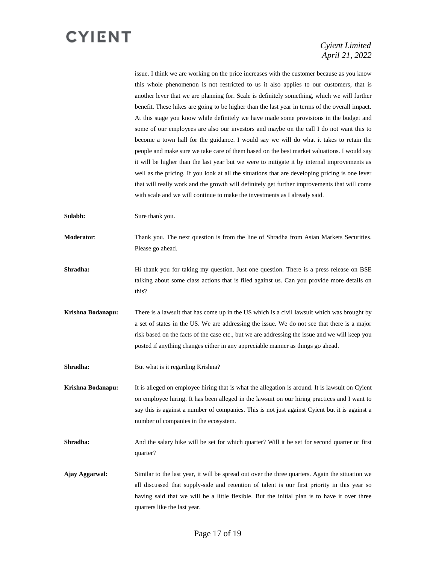#### *Cyient Limited April 21, 2022*

issue. I think we are working on the price increases with the customer because as you know this whole phenomenon is not restricted to us it also applies to our customers, that is another lever that we are planning for. Scale is definitely something, which we will further benefit. These hikes are going to be higher than the last year in terms of the overall impact. At this stage you know while definitely we have made some provisions in the budget and some of our employees are also our investors and maybe on the call I do not want this to become a town hall for the guidance. I would say we will do what it takes to retain the people and make sure we take care of them based on the best market valuations. I would say it will be higher than the last year but we were to mitigate it by internal improvements as well as the pricing. If you look at all the situations that are developing pricing is one lever that will really work and the growth will definitely get further improvements that will come with scale and we will continue to make the investments as I already said.

**Sulabh:** Sure thank you.

**Moderator**: Thank you. The next question is from the line of Shradha from Asian Markets Securities. Please go ahead.

**Shradha:** Hi thank you for taking my question. Just one question. There is a press release on BSE talking about some class actions that is filed against us. Can you provide more details on this?

**Krishna Bodanapu:** There is a lawsuit that has come up in the US which is a civil lawsuit which was brought by a set of states in the US. We are addressing the issue. We do not see that there is a major risk based on the facts of the case etc., but we are addressing the issue and we will keep you posted if anything changes either in any appreciable manner as things go ahead.

**Shradha:** But what is it regarding Krishna?

**Krishna Bodanapu:** It is alleged on employee hiring that is what the allegation is around. It is lawsuit on Cyient on employee hiring. It has been alleged in the lawsuit on our hiring practices and I want to say this is against a number of companies. This is not just against Cyient but it is against a number of companies in the ecosystem.

**Shradha:** And the salary hike will be set for which quarter? Will it be set for second quarter or first quarter?

**Ajay Aggarwal:** Similar to the last year, it will be spread out over the three quarters. Again the situation we all discussed that supply-side and retention of talent is our first priority in this year so having said that we will be a little flexible. But the initial plan is to have it over three quarters like the last year.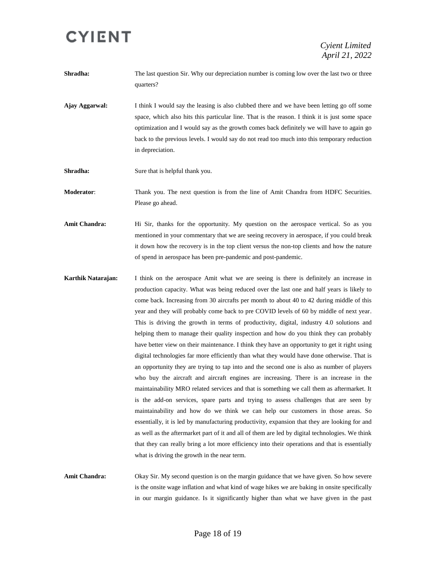**Shradha:** The last question Sir. Why our depreciation number is coming low over the last two or three quarters?

- **Ajay Aggarwal:** I think I would say the leasing is also clubbed there and we have been letting go off some space, which also hits this particular line. That is the reason. I think it is just some space optimization and I would say as the growth comes back definitely we will have to again go back to the previous levels. I would say do not read too much into this temporary reduction in depreciation.
- **Shradha:** Sure that is helpful thank you.

**Moderator**: Thank you. The next question is from the line of Amit Chandra from HDFC Securities. Please go ahead.

- Amit Chandra: Hi Sir, thanks for the opportunity. My question on the aerospace vertical. So as you mentioned in your commentary that we are seeing recovery in aerospace, if you could break it down how the recovery is in the top client versus the non-top clients and how the nature of spend in aerospace has been pre-pandemic and post-pandemic.
- **Karthik Natarajan:** I think on the aerospace Amit what we are seeing is there is definitely an increase in production capacity. What was being reduced over the last one and half years is likely to come back. Increasing from 30 aircrafts per month to about 40 to 42 during middle of this year and they will probably come back to pre COVID levels of 60 by middle of next year. This is driving the growth in terms of productivity, digital, industry 4.0 solutions and helping them to manage their quality inspection and how do you think they can probably have better view on their maintenance. I think they have an opportunity to get it right using digital technologies far more efficiently than what they would have done otherwise. That is an opportunity they are trying to tap into and the second one is also as number of players who buy the aircraft and aircraft engines are increasing. There is an increase in the maintainability MRO related services and that is something we call them as aftermarket. It is the add-on services, spare parts and trying to assess challenges that are seen by maintainability and how do we think we can help our customers in those areas. So essentially, it is led by manufacturing productivity, expansion that they are looking for and as well as the aftermarket part of it and all of them are led by digital technologies. We think that they can really bring a lot more efficiency into their operations and that is essentially what is driving the growth in the near term.
- **Amit Chandra:** Okay Sir. My second question is on the margin guidance that we have given. So how severe is the onsite wage inflation and what kind of wage hikes we are baking in onsite specifically in our margin guidance. Is it significantly higher than what we have given in the past